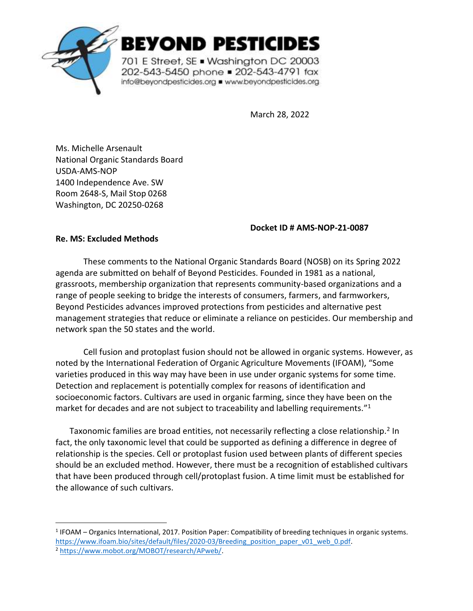

**BEYOND PESTICIDES** 

701 E Street, SE . Washington DC 20003 202-543-5450 phone = 202-543-4791 fax info@beyondpesticides.org = www.beyondpesticides.org

March 28, 2022

Ms. Michelle Arsenault National Organic Standards Board USDA-AMS-NOP 1400 Independence Ave. SW Room 2648-S, Mail Stop 0268 Washington, DC 20250-0268

## **Docket ID # AMS-NOP-21-0087**

## **Re. MS: Excluded Methods**

These comments to the National Organic Standards Board (NOSB) on its Spring 2022 agenda are submitted on behalf of Beyond Pesticides. Founded in 1981 as a national, grassroots, membership organization that represents community-based organizations and a range of people seeking to bridge the interests of consumers, farmers, and farmworkers, Beyond Pesticides advances improved protections from pesticides and alternative pest management strategies that reduce or eliminate a reliance on pesticides. Our membership and network span the 50 states and the world.

Cell fusion and protoplast fusion should not be allowed in organic systems. However, as noted by the International Federation of Organic Agriculture Movements (IFOAM), "Some varieties produced in this way may have been in use under organic systems for some time. Detection and replacement is potentially complex for reasons of identification and socioeconomic factors. Cultivars are used in organic farming, since they have been on the market for decades and are not subject to traceability and labelling requirements."<sup>1</sup>

Taxonomic families are broad entities, not necessarily reflecting a close relationship.<sup>2</sup> In fact, the only taxonomic level that could be supported as defining a difference in degree of relationship is the species. Cell or protoplast fusion used between plants of different species should be an excluded method. However, there must be a recognition of established cultivars that have been produced through cell/protoplast fusion. A time limit must be established for the allowance of such cultivars.

<sup>&</sup>lt;sup>1</sup> IFOAM – Organics International, 2017. Position Paper: Compatibility of breeding techniques in organic systems. [https://www.ifoam.bio/sites/default/files/2020-03/Breeding\\_position\\_paper\\_v01\\_web\\_0.pdf.](https://www.ifoam.bio/sites/default/files/2020-03/Breeding_position_paper_v01_web_0.pdf)

<sup>2</sup> [https://www.mobot.org/MOBOT/research/APweb/.](https://www.mobot.org/MOBOT/research/APweb/)